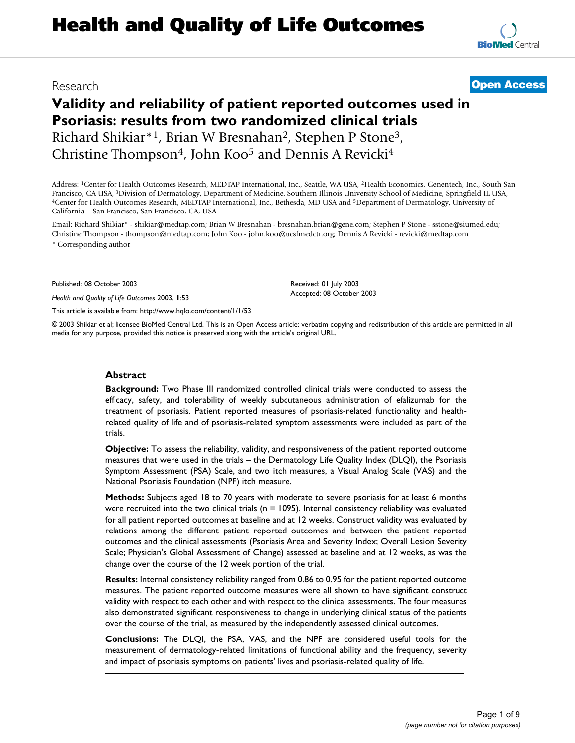# **Validity and reliability of patient reported outcomes used in Psoriasis: results from two randomized clinical trials** Richard Shikiar\*1, Brian W Bresnahan2, Stephen P Stone3, Christine Thompson<sup>4</sup>, John Koo<sup>5</sup> and Dennis A Revicki<sup>4</sup>

Address: <sup>1</sup>Center for Health Outcomes Research, MEDTAP International, Inc., Seattle, WA USA, <sup>2</sup>Health Economics, Genentech, Inc., South San Francisco, CA USA, <sup>3</sup>Division of Dermatology, Department of Medicine, Southern <sup>4</sup>Center for Health Outcomes Research, MEDTAP International, Inc., Bethesda, MD USA and <sup>5</sup>Department of Dermatology, University of California – San Francisco, San Francisco, CA, USA

Email: Richard Shikiar\* - shikiar@medtap.com; Brian W Bresnahan - bresnahan.brian@gene.com; Stephen P Stone - sstone@siumed.edu; Christine Thompson - thompson@medtap.com; John Koo - john.koo@ucsfmedctr.org; Dennis A Revicki - revicki@medtap.com \* Corresponding author

Published: 08 October 2003

*Health and Quality of Life Outcomes* 2003, **1**:53

[This article is available from: http://www.hqlo.com/content/1/1/53](http://www.hqlo.com/content/1/1/53)

© 2003 Shikiar et al; licensee BioMed Central Ltd. This is an Open Access article: verbatim copying and redistribution of this article are permitted in all media for any purpose, provided this notice is preserved along with the article's original URL.

#### **Abstract**

**Background:** Two Phase III randomized controlled clinical trials were conducted to assess the efficacy, safety, and tolerability of weekly subcutaneous administration of efalizumab for the treatment of psoriasis. Patient reported measures of psoriasis-related functionality and healthrelated quality of life and of psoriasis-related symptom assessments were included as part of the trials.

**Objective:** To assess the reliability, validity, and responsiveness of the patient reported outcome measures that were used in the trials – the Dermatology Life Quality Index (DLQI), the Psoriasis Symptom Assessment (PSA) Scale, and two itch measures, a Visual Analog Scale (VAS) and the National Psoriasis Foundation (NPF) itch measure.

**Methods:** Subjects aged 18 to 70 years with moderate to severe psoriasis for at least 6 months were recruited into the two clinical trials ( $n = 1095$ ). Internal consistency reliability was evaluated for all patient reported outcomes at baseline and at 12 weeks. Construct validity was evaluated by relations among the different patient reported outcomes and between the patient reported outcomes and the clinical assessments (Psoriasis Area and Severity Index; Overall Lesion Severity Scale; Physician's Global Assessment of Change) assessed at baseline and at 12 weeks, as was the change over the course of the 12 week portion of the trial.

**Results:** Internal consistency reliability ranged from 0.86 to 0.95 for the patient reported outcome measures. The patient reported outcome measures were all shown to have significant construct validity with respect to each other and with respect to the clinical assessments. The four measures also demonstrated significant responsiveness to change in underlying clinical status of the patients over the course of the trial, as measured by the independently assessed clinical outcomes.

**Conclusions:** The DLQI, the PSA, VAS, and the NPF are considered useful tools for the measurement of dermatology-related limitations of functional ability and the frequency, severity and impact of psoriasis symptoms on patients' lives and psoriasis-related quality of life.



Received: 01 July 2003 Accepted: 08 October 2003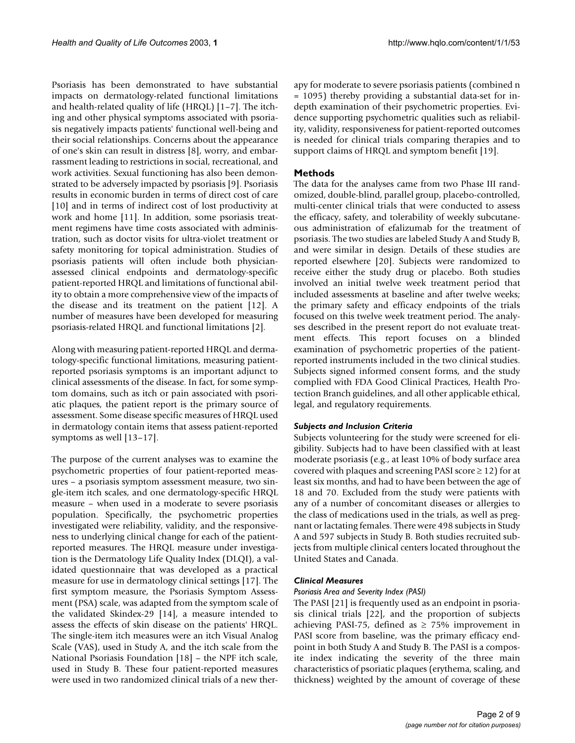Psoriasis has been demonstrated to have substantial impacts on dermatology-related functional limitations and health-related quality of life (HRQL) [1–7]. The itching and other physical symptoms associated with psoriasis negatively impacts patients' functional well-being and their social relationships. Concerns about the appearance of one's skin can result in distress [8], worry, and embarrassment leading to restrictions in social, recreational, and work activities. Sexual functioning has also been demonstrated to be adversely impacted by psoriasis [9]. Psoriasis results in economic burden in terms of direct cost of care [10] and in terms of indirect cost of lost productivity at work and home [11]. In addition, some psoriasis treatment regimens have time costs associated with administration, such as doctor visits for ultra-violet treatment or safety monitoring for topical administration. Studies of psoriasis patients will often include both physicianassessed clinical endpoints and dermatology-specific patient-reported HRQL and limitations of functional ability to obtain a more comprehensive view of the impacts of the disease and its treatment on the patient [12]. A number of measures have been developed for measuring psoriasis-related HRQL and functional limitations [2].

Along with measuring patient-reported HRQL and dermatology-specific functional limitations, measuring patientreported psoriasis symptoms is an important adjunct to clinical assessments of the disease. In fact, for some symptom domains, such as itch or pain associated with psoriatic plaques, the patient report is the primary source of assessment. Some disease specific measures of HRQL used in dermatology contain items that assess patient-reported symptoms as well [13–17].

The purpose of the current analyses was to examine the psychometric properties of four patient-reported measures – a psoriasis symptom assessment measure, two single-item itch scales, and one dermatology-specific HRQL measure – when used in a moderate to severe psoriasis population. Specifically, the psychometric properties investigated were reliability, validity, and the responsiveness to underlying clinical change for each of the patientreported measures. The HRQL measure under investigation is the Dermatology Life Quality Index (DLQI), a validated questionnaire that was developed as a practical measure for use in dermatology clinical settings [17]. The first symptom measure, the Psoriasis Symptom Assessment (PSA) scale, was adapted from the symptom scale of the validated Skindex-29 [14], a measure intended to assess the effects of skin disease on the patients' HRQL. The single-item itch measures were an itch Visual Analog Scale (VAS), used in Study A, and the itch scale from the National Psoriasis Foundation [18] – the NPF itch scale, used in Study B. These four patient-reported measures were used in two randomized clinical trials of a new therapy for moderate to severe psoriasis patients (combined n = 1095) thereby providing a substantial data-set for indepth examination of their psychometric properties. Evidence supporting psychometric qualities such as reliability, validity, responsiveness for patient-reported outcomes is needed for clinical trials comparing therapies and to support claims of HRQL and symptom benefit [19].

#### **Methods**

The data for the analyses came from two Phase III randomized, double-blind, parallel group, placebo-controlled, multi-center clinical trials that were conducted to assess the efficacy, safety, and tolerability of weekly subcutaneous administration of efalizumab for the treatment of psoriasis. The two studies are labeled Study A and Study B, and were similar in design. Details of these studies are reported elsewhere [20]. Subjects were randomized to receive either the study drug or placebo. Both studies involved an initial twelve week treatment period that included assessments at baseline and after twelve weeks; the primary safety and efficacy endpoints of the trials focused on this twelve week treatment period. The analyses described in the present report do not evaluate treatment effects. This report focuses on a blinded examination of psychometric properties of the patientreported instruments included in the two clinical studies. Subjects signed informed consent forms, and the study complied with FDA Good Clinical Practices, Health Protection Branch guidelines, and all other applicable ethical, legal, and regulatory requirements.

#### *Subjects and Inclusion Criteria*

Subjects volunteering for the study were screened for eligibility. Subjects had to have been classified with at least moderate psoriasis (e.g., at least 10% of body surface area covered with plaques and screening PASI score  $\geq$  12) for at least six months, and had to have been between the age of 18 and 70. Excluded from the study were patients with any of a number of concomitant diseases or allergies to the class of medications used in the trials, as well as pregnant or lactating females. There were 498 subjects in Study A and 597 subjects in Study B. Both studies recruited subjects from multiple clinical centers located throughout the United States and Canada.

#### *Clinical Measures*

#### *Psoriasis Area and Severity Index (PASI)*

The PASI [21] is frequently used as an endpoint in psoriasis clinical trials [22], and the proportion of subjects achieving PASI-75, defined as  $\geq$  75% improvement in PASI score from baseline, was the primary efficacy endpoint in both Study A and Study B. The PASI is a composite index indicating the severity of the three main characteristics of psoriatic plaques (erythema, scaling, and thickness) weighted by the amount of coverage of these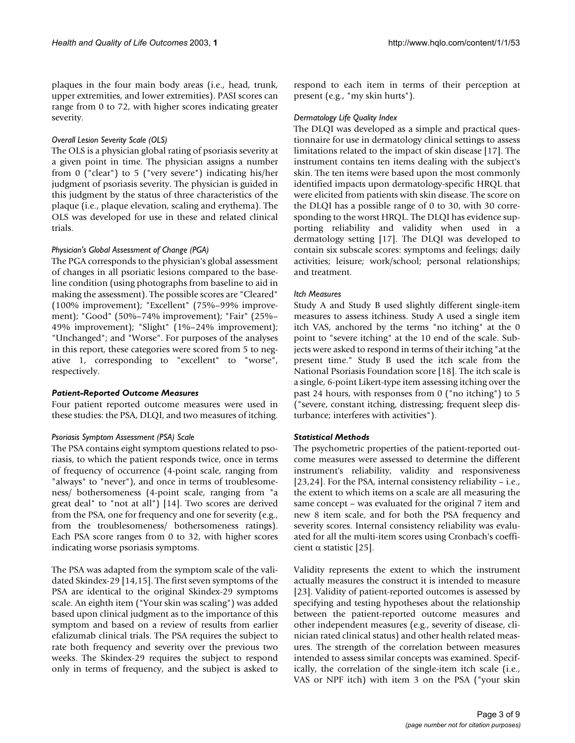plaques in the four main body areas (i.e., head, trunk, upper extremities, and lower extremities). PASI scores can range from 0 to 72, with higher scores indicating greater severity.

# *Overall Lesion Severity Scale (OLS)*

The OLS is a physician global rating of psoriasis severity at a given point in time. The physician assigns a number from 0 ("clear") to 5 ("very severe") indicating his/her judgment of psoriasis severity. The physician is guided in this judgment by the status of three characteristics of the plaque (i.e., plaque elevation, scaling and erythema). The OLS was developed for use in these and related clinical trials.

# *Physician's Global Assessment of Change (PGA)*

The PGA corresponds to the physician's global assessment of changes in all psoriatic lesions compared to the baseline condition (using photographs from baseline to aid in making the assessment). The possible scores are "Cleared" (100% improvement); "Excellent" (75%–99% improvement); "Good" (50%–74% improvement); "Fair" (25%– 49% improvement); "Slight" (1%–24% improvement); "Unchanged"; and "Worse". For purposes of the analyses in this report, these categories were scored from 5 to negative 1, corresponding to "excellent" to "worse", respectively.

# *Patient-Reported Outcome Measures*

Four patient reported outcome measures were used in these studies: the PSA, DLQI, and two measures of itching.

# *Psoriasis Symptom Assessment (PSA) Scale*

The PSA contains eight symptom questions related to psoriasis, to which the patient responds twice, once in terms of frequency of occurrence (4-point scale, ranging from "always" to "never"), and once in terms of troublesomeness/ bothersomeness (4-point scale, ranging from "a great deal" to "not at all") [14]. Two scores are derived from the PSA, one for frequency and one for severity (e.g., from the troublesomeness/ bothersomeness ratings). Each PSA score ranges from 0 to 32, with higher scores indicating worse psoriasis symptoms.

The PSA was adapted from the symptom scale of the validated Skindex-29 [14,15]. The first seven symptoms of the PSA are identical to the original Skindex-29 symptoms scale. An eighth item ("Your skin was scaling") was added based upon clinical judgment as to the importance of this symptom and based on a review of results from earlier efalizumab clinical trials. The PSA requires the subject to rate both frequency and severity over the previous two weeks. The Skindex-29 requires the subject to respond only in terms of frequency, and the subject is asked to

respond to each item in terms of their perception at present (e.g., "my skin hurts").

# *Dermatology Life Quality Index*

The DLQI was developed as a simple and practical questionnaire for use in dermatology clinical settings to assess limitations related to the impact of skin disease [17]. The instrument contains ten items dealing with the subject's skin. The ten items were based upon the most commonly identified impacts upon dermatology-specific HRQL that were elicited from patients with skin disease. The score on the DLQI has a possible range of 0 to 30, with 30 corresponding to the worst HRQL. The DLQI has evidence supporting reliability and validity when used in a dermatology setting [17]. The DLQI was developed to contain six subscale scores: symptoms and feelings; daily activities; leisure; work/school; personal relationships; and treatment.

# *Itch Measures*

Study A and Study B used slightly different single-item measures to assess itchiness. Study A used a single item itch VAS, anchored by the terms "no itching" at the 0 point to "severe itching" at the 10 end of the scale. Subjects were asked to respond in terms of their itching "at the present time." Study B used the itch scale from the National Psoriasis Foundation score [18]. The itch scale is a single, 6-point Likert-type item assessing itching over the past 24 hours, with responses from 0 ("no itching") to 5 ("severe, constant itching, distressing; frequent sleep disturbance; interferes with activities").

# *Statistical Methods*

The psychometric properties of the patient-reported outcome measures were assessed to determine the different instrument's reliability, validity and responsiveness [23,24]. For the PSA, internal consistency reliability – i.e., the extent to which items on a scale are all measuring the same concept – was evaluated for the original 7 item and new 8 item scale, and for both the PSA frequency and severity scores. Internal consistency reliability was evaluated for all the multi-item scores using Cronbach's coefficient  $\alpha$  statistic [25].

Validity represents the extent to which the instrument actually measures the construct it is intended to measure [23]. Validity of patient-reported outcomes is assessed by specifying and testing hypotheses about the relationship between the patient-reported outcome measures and other independent measures (e.g., severity of disease, clinician rated clinical status) and other health related measures. The strength of the correlation between measures intended to assess similar concepts was examined. Specifically, the correlation of the single-item itch scale (i.e., VAS or NPF itch) with item 3 on the PSA ("your skin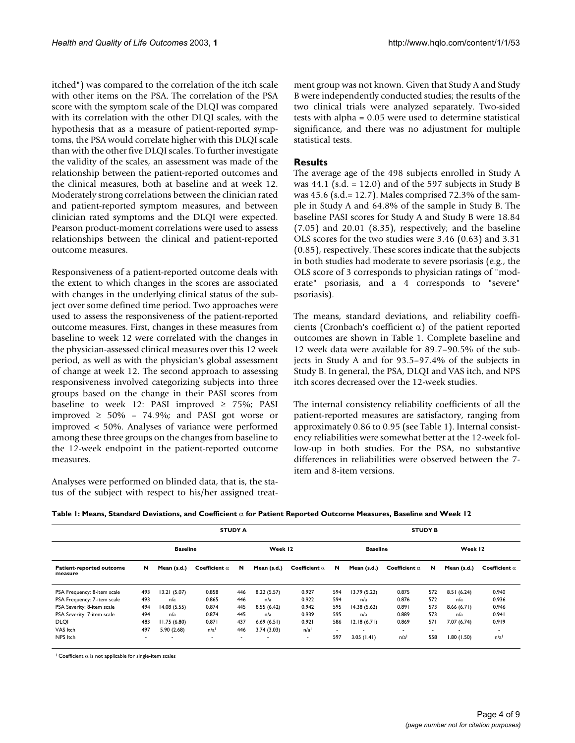itched") was compared to the correlation of the itch scale with other items on the PSA. The correlation of the PSA score with the symptom scale of the DLQI was compared with its correlation with the other DLQI scales, with the hypothesis that as a measure of patient-reported symptoms, the PSA would correlate higher with this DLQI scale than with the other five DLQI scales. To further investigate the validity of the scales, an assessment was made of the relationship between the patient-reported outcomes and the clinical measures, both at baseline and at week 12. Moderately strong correlations between the clinician rated and patient-reported symptom measures, and between clinician rated symptoms and the DLQI were expected. Pearson product-moment correlations were used to assess relationships between the clinical and patient-reported outcome measures.

Responsiveness of a patient-reported outcome deals with the extent to which changes in the scores are associated with changes in the underlying clinical status of the subject over some defined time period. Two approaches were used to assess the responsiveness of the patient-reported outcome measures. First, changes in these measures from baseline to week 12 were correlated with the changes in the physician-assessed clinical measures over this 12 week period, as well as with the physician's global assessment of change at week 12. The second approach to assessing responsiveness involved categorizing subjects into three groups based on the change in their PASI scores from baseline to week 12: PASI improved  $\geq$  75%; PASI improved  $\geq 50\% - 74.9\%$ ; and PASI got worse or improved < 50%. Analyses of variance were performed among these three groups on the changes from baseline to the 12-week endpoint in the patient-reported outcome measures.

Analyses were performed on blinded data, that is, the status of the subject with respect to his/her assigned treatment group was not known. Given that Study A and Study B were independently conducted studies; the results of the two clinical trials were analyzed separately. Two-sided tests with alpha = 0.05 were used to determine statistical significance, and there was no adjustment for multiple statistical tests.

# **Results**

The average age of the 498 subjects enrolled in Study A was  $44.1$  (s.d. = 12.0) and of the 597 subjects in Study B was 45.6 (s.d.= 12.7). Males comprised 72.3% of the sample in Study A and 64.8% of the sample in Study B. The baseline PASI scores for Study A and Study B were 18.84 (7.05) and 20.01 (8.35), respectively; and the baseline OLS scores for the two studies were 3.46 (0.63) and 3.31 (0.85), respectively. These scores indicate that the subjects in both studies had moderate to severe psoriasis (e.g., the OLS score of 3 corresponds to physician ratings of "moderate" psoriasis, and a 4 corresponds to "severe" psoriasis).

The means, standard deviations, and reliability coefficients (Cronbach's coefficient α) of the patient reported outcomes are shown in Table 1. Complete baseline and 12 week data were available for 89.7–90.5% of the subjects in Study A and for 93.5–97.4% of the subjects in Study B. In general, the PSA, DLQI and VAS itch, and NPS itch scores decreased over the 12-week studies.

The internal consistency reliability coefficients of all the patient-reported measures are satisfactory, ranging from approximately 0.86 to 0.95 (see Table 1). Internal consistency reliabilities were somewhat better at the 12-week follow-up in both studies. For the PSA, no substantive differences in reliabilities were observed between the 7 item and 8-item versions.

|                                            |                 |             |                          | <b>STUDY A</b><br><b>STUDY B</b> |                          |                          |                          |             |                          |                          |             |                      |
|--------------------------------------------|-----------------|-------------|--------------------------|----------------------------------|--------------------------|--------------------------|--------------------------|-------------|--------------------------|--------------------------|-------------|----------------------|
| <b>Patient-reported outcome</b><br>measure | <b>Baseline</b> |             |                          | Week 12                          |                          |                          | <b>Baseline</b>          |             |                          | Week 12                  |             |                      |
|                                            | N               | Mean (s.d.) | Coefficient $\alpha$     | N                                | Mean (s.d.)              | Coefficient $\alpha$     | N                        | Mean (s.d.) | Coefficient $\alpha$     | N                        | Mean (s.d.) | Coefficient $\alpha$ |
| PSA Frequency: 8-item scale                | 493             | 13.21(5.07) | 0.858                    | 446                              | 8.22(5.57)               | 0.927                    | 594                      | 13.79(5.22) | 0.875                    | 572                      | 8.51(6.24)  | 0.940                |
| PSA Frequency: 7-item scale                | 493             | n/a         | 0.865                    | 446                              | n/a                      | 0.922                    | 594                      | n/a         | 0.876                    | 572                      | n/a         | 0.936                |
| PSA Severity: 8-item scale                 | 494             | 14.08(5.55) | 0.874                    | 445                              | 8.55(6.42)               | 0.942                    | 595                      | 14.38(5.62) | 0.891                    | 573                      | 8.66(6.71)  | 0.946                |
| PSA Severity: 7-item scale                 | 494             | n/a         | 0.874                    | 445                              | n/a                      | 0.939                    | 595                      | n/a         | 0.889                    | 573                      | n/a         | 0.941                |
| <b>DLQI</b>                                | 483             | 11.75(6.80) | 0.871                    | 437                              | 6.69(6.51)               | 0.921                    | 586                      | 12.18(6.71) | 0.869                    | 571                      | 7.07 (6.74) | 0.919                |
| VAS Itch                                   | 497             | 5.90(2.68)  | n/a                      | 446                              | 3.74(3.03)               | $n/a$ <sup>1</sup>       | $\overline{\phantom{a}}$ |             | $\overline{\phantom{a}}$ | $\overline{\phantom{a}}$ |             | -                    |
| NPS Itch                                   | $\sim$          |             | $\overline{\phantom{a}}$ | $\overline{\phantom{a}}$         | $\overline{\phantom{a}}$ | $\overline{\phantom{a}}$ | 597                      | 3.05(1.41)  | n/a                      | 558                      | 1.80(1.50)  | n/a <sup>1</sup>     |

<sup>1</sup> Coefficient  $\alpha$  is not applicable for single-item scales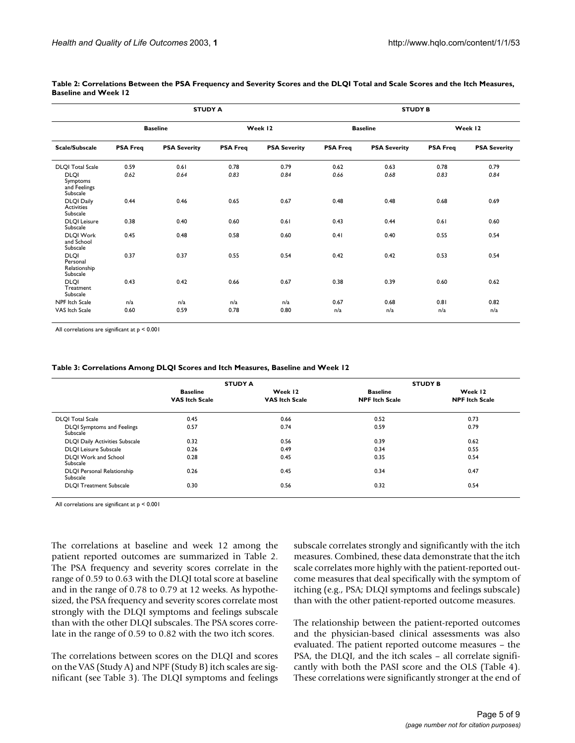|                                                     |                 | <b>STUDY A</b>      |                 |                     | <b>STUDY B</b>  |                     |                 |                     |  |  |
|-----------------------------------------------------|-----------------|---------------------|-----------------|---------------------|-----------------|---------------------|-----------------|---------------------|--|--|
| Scale/Subscale                                      |                 | <b>Baseline</b>     |                 | Week 12             |                 | <b>Baseline</b>     | Week 12         |                     |  |  |
|                                                     | <b>PSA Freq</b> | <b>PSA Severity</b> | <b>PSA Freq</b> | <b>PSA Severity</b> | <b>PSA Freq</b> | <b>PSA Severity</b> | <b>PSA Freq</b> | <b>PSA Severity</b> |  |  |
| <b>DLQI</b> Total Scale                             | 0.59            | 0.61                | 0.78            | 0.79                | 0.62            | 0.63                | 0.78            | 0.79                |  |  |
| <b>DLQI</b><br>Symptoms<br>and Feelings<br>Subscale | 0.62            | 0.64                | 0.83            | 0.84                | 0.66            | 0.68                | 0.83            | 0.84                |  |  |
| <b>DLQI Daily</b><br><b>Activities</b><br>Subscale  | 0.44            | 0.46                | 0.65            | 0.67                | 0.48            | 0.48                | 0.68            | 0.69                |  |  |
| <b>DLOI</b> Leisure<br>Subscale                     | 0.38            | 0.40                | 0.60            | 0.61                | 0.43            | 0.44                | 0.61            | 0.60                |  |  |
| <b>DLOI Work</b><br>and School<br>Subscale          | 0.45            | 0.48                | 0.58            | 0.60                | 0.41            | 0.40                | 0.55            | 0.54                |  |  |
| <b>DLOI</b><br>Personal<br>Relationship<br>Subscale | 0.37            | 0.37                | 0.55            | 0.54                | 0.42            | 0.42                | 0.53            | 0.54                |  |  |
| <b>DLQI</b><br>Treatment<br>Subscale                | 0.43            | 0.42                | 0.66            | 0.67                | 0.38            | 0.39                | 0.60            | 0.62                |  |  |
| <b>NPF</b> Itch Scale                               | n/a             | n/a                 | n/a             | n/a                 | 0.67            | 0.68                | 0.81            | 0.82                |  |  |
| VAS Itch Scale                                      | 0.60            | 0.59                | 0.78            | 0.80                | n/a             | n/a                 | n/a             | n/a                 |  |  |

#### <span id="page-4-0"></span>**Table 2: Correlations Between the PSA Frequency and Severity Scores and the DLQI Total and Scale Scores and the Itch Measures, Baseline and Week 12**

All correlations are significant at p < 0.001

#### <span id="page-4-1"></span>**Table 3: Correlations Among DLQI Scores and Itch Measures, Baseline and Week 12**

|                                               |                       | <b>STUDY A</b>        | <b>STUDY B</b>        |                       |  |  |
|-----------------------------------------------|-----------------------|-----------------------|-----------------------|-----------------------|--|--|
|                                               | <b>Baseline</b>       | Week 12               | <b>Baseline</b>       | Week 12               |  |  |
|                                               | <b>VAS Itch Scale</b> | <b>VAS Itch Scale</b> | <b>NPF Itch Scale</b> | <b>NPF Itch Scale</b> |  |  |
| <b>DLOI</b> Total Scale                       | 0.45                  | 0.66                  | 0.52                  | 0.73                  |  |  |
| DLQI Symptoms and Feelings<br>Subscale        | 0.57                  | 0.74                  | 0.59                  | 0.79                  |  |  |
| <b>DLQI Daily Activities Subscale</b>         | 0.32                  | 0.56                  | 0.39                  | 0.62                  |  |  |
| <b>DLQI</b> Leisure Subscale                  | 0.26                  | 0.49                  | 0.34                  | 0.55                  |  |  |
| DLQI Work and School<br>Subscale              | 0.28                  | 0.45                  | 0.35                  | 0.54                  |  |  |
| <b>DLQI</b> Personal Relationship<br>Subscale | 0.26                  | 0.45                  | 0.34                  | 0.47                  |  |  |
| <b>DLQI</b> Treatment Subscale                | 0.30                  | 0.56                  | 0.32                  | 0.54                  |  |  |

All correlations are significant at  $p < 0.001$ 

The correlations at baseline and week 12 among the patient reported outcomes are summarized in Table [2.](#page-4-0) The PSA frequency and severity scores correlate in the range of 0.59 to 0.63 with the DLQI total score at baseline and in the range of 0.78 to 0.79 at 12 weeks. As hypothesized, the PSA frequency and severity scores correlate most strongly with the DLQI symptoms and feelings subscale than with the other DLQI subscales. The PSA scores correlate in the range of 0.59 to 0.82 with the two itch scores.

The correlations between scores on the DLQI and scores on the VAS (Study A) and NPF (Study B) itch scales are significant (see Table [3](#page-4-1)). The DLQI symptoms and feelings

subscale correlates strongly and significantly with the itch measures. Combined, these data demonstrate that the itch scale correlates more highly with the patient-reported outcome measures that deal specifically with the symptom of itching (e.g., PSA; DLQI symptoms and feelings subscale) than with the other patient-reported outcome measures.

The relationship between the patient-reported outcomes and the physician-based clinical assessments was also evaluated. The patient reported outcome measures – the PSA, the DLQI, and the itch scales – all correlate significantly with both the PASI score and the OLS (Table 4). These correlations were significantly stronger at the end of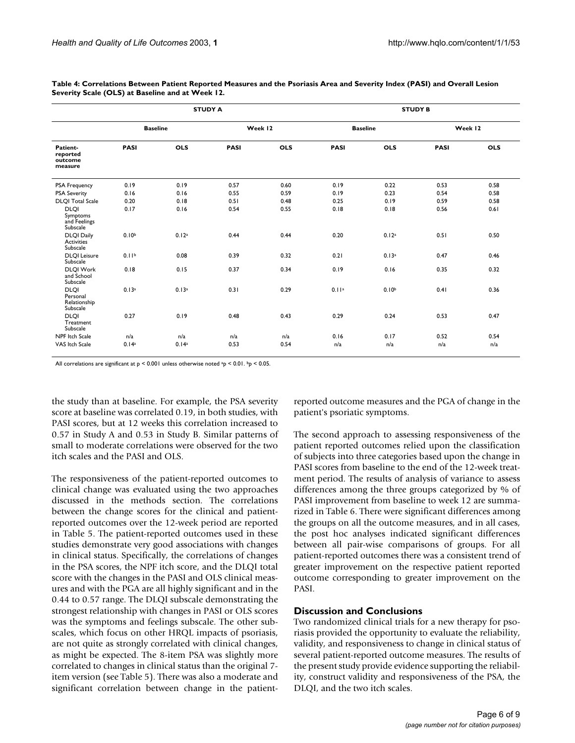|                                                     |                   |                   | <b>STUDY A</b> |            |             | <b>STUDY B</b>    |             |            |  |  |  |
|-----------------------------------------------------|-------------------|-------------------|----------------|------------|-------------|-------------------|-------------|------------|--|--|--|
|                                                     | <b>Baseline</b>   |                   | Week 12        |            |             | <b>Baseline</b>   | Week 12     |            |  |  |  |
| Patient-<br>reported<br>outcome<br>measure          | <b>PASI</b>       | <b>OLS</b>        | <b>PASI</b>    | <b>OLS</b> | <b>PASI</b> | <b>OLS</b>        | <b>PASI</b> | <b>OLS</b> |  |  |  |
| <b>PSA Frequency</b>                                | 0.19              | 0.19              | 0.57           | 0.60       | 0.19        | 0.22              | 0.53        | 0.58       |  |  |  |
| <b>PSA Severity</b>                                 | 0.16              | 0.16              | 0.55           | 0.59       | 0.19        | 0.23              | 0.54        | 0.58       |  |  |  |
| <b>DLQI</b> Total Scale                             | 0.20              | 0.18              | 0.51           | 0.48       | 0.25        | 0.19              | 0.59        | 0.58       |  |  |  |
| <b>DLQI</b><br>Symptoms<br>and Feelings<br>Subscale | 0.17              | 0.16              | 0.54           | 0.55       | 0.18        | 0.18              | 0.56        | 0.61       |  |  |  |
| <b>DLQI Daily</b><br><b>Activities</b><br>Subscale  | 0.10 <sup>b</sup> | 0.12 <sup>a</sup> | 0.44           | 0.44       | 0.20        | 0.12 <sup>a</sup> | 0.51        | 0.50       |  |  |  |
| <b>DLQI</b> Leisure<br>Subscale                     | 0.11 <sup>b</sup> | 0.08              | 0.39           | 0.32       | 0.21        | 0.13a             | 0.47        | 0.46       |  |  |  |
| <b>DLQI Work</b><br>and School<br>Subscale          | 0.18              | 0.15              | 0.37           | 0.34       | 0.19        | 0.16              | 0.35        | 0.32       |  |  |  |
| <b>DLQI</b><br>Personal<br>Relationship<br>Subscale | 0.13a             | 0.13a             | 0.31           | 0.29       | 0.11a       | 0.10 <sup>b</sup> | 0.41        | 0.36       |  |  |  |
| <b>DLQI</b><br>Treatment<br>Subscale                | 0.27              | 0.19              | 0.48           | 0.43       | 0.29        | 0.24              | 0.53        | 0.47       |  |  |  |
| NPF Itch Scale                                      | n/a               | n/a               | n/a            | n/a        | 0.16        | 0.17              | 0.52        | 0.54       |  |  |  |
| VAS Itch Scale                                      | 0.14a             | 0.14a             | 0.53           | 0.54       | n/a         | n/a               | n/a         | n/a        |  |  |  |

**Table 4: Correlations Between Patient Reported Measures and the Psoriasis Area and Severity Index (PASI) and Overall Lesion Severity Scale (OLS) at Baseline and at Week 12.**

All correlations are significant at  $p \le 0.001$  unless otherwise noted  ${}^{a}p \le 0.01$ .  ${}^{b}p \le 0.05$ .

the study than at baseline. For example, the PSA severity score at baseline was correlated 0.19, in both studies, with PASI scores, but at 12 weeks this correlation increased to 0.57 in Study A and 0.53 in Study B. Similar patterns of small to moderate correlations were observed for the two itch scales and the PASI and OLS.

The responsiveness of the patient-reported outcomes to clinical change was evaluated using the two approaches discussed in the methods section. The correlations between the change scores for the clinical and patientreported outcomes over the 12-week period are reported in Table [5.](#page-6-0) The patient-reported outcomes used in these studies demonstrate very good associations with changes in clinical status. Specifically, the correlations of changes in the PSA scores, the NPF itch score, and the DLQI total score with the changes in the PASI and OLS clinical measures and with the PGA are all highly significant and in the 0.44 to 0.57 range. The DLQI subscale demonstrating the strongest relationship with changes in PASI or OLS scores was the symptoms and feelings subscale. The other subscales, which focus on other HRQL impacts of psoriasis, are not quite as strongly correlated with clinical changes, as might be expected. The 8-item PSA was slightly more correlated to changes in clinical status than the original 7 item version (see Table [5](#page-6-0)). There was also a moderate and significant correlation between change in the patientreported outcome measures and the PGA of change in the patient's psoriatic symptoms.

The second approach to assessing responsiveness of the patient reported outcomes relied upon the classification of subjects into three categories based upon the change in PASI scores from baseline to the end of the 12-week treatment period. The results of analysis of variance to assess differences among the three groups categorized by % of PASI improvement from baseline to week 12 are summarized in Table [6](#page-6-1). There were significant differences among the groups on all the outcome measures, and in all cases, the post hoc analyses indicated significant differences between all pair-wise comparisons of groups. For all patient-reported outcomes there was a consistent trend of greater improvement on the respective patient reported outcome corresponding to greater improvement on the PASI.

# **Discussion and Conclusions**

Two randomized clinical trials for a new therapy for psoriasis provided the opportunity to evaluate the reliability, validity, and responsiveness to change in clinical status of several patient-reported outcome measures. The results of the present study provide evidence supporting the reliability, construct validity and responsiveness of the PSA, the DLQI, and the two itch scales.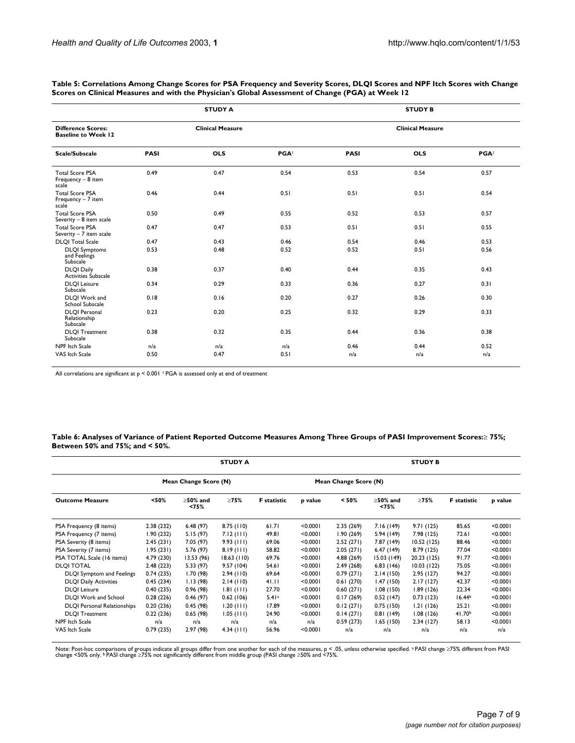|                                                         |             | <b>STUDY A</b>          |            |                         | <b>STUDY B</b> |            |  |  |  |
|---------------------------------------------------------|-------------|-------------------------|------------|-------------------------|----------------|------------|--|--|--|
| <b>Difference Scores:</b><br><b>Baseline to Week 12</b> |             | <b>Clinical Measure</b> |            | <b>Clinical Measure</b> |                |            |  |  |  |
| Scale/Subscale                                          | <b>PASI</b> | <b>OLS</b>              | <b>PGA</b> | <b>PASI</b>             | <b>OLS</b>     | <b>PGA</b> |  |  |  |
| <b>Total Score PSA</b><br>Frequency - 8 item<br>scale   | 0.49        | 0.47                    | 0.54       | 0.53                    | 0.54           | 0.57       |  |  |  |
| <b>Total Score PSA</b><br>Frequency $-7$ item<br>scale  | 0.46        | 0.44                    | 0.51       | 0.51                    | 0.51           | 0.54       |  |  |  |
| <b>Total Score PSA</b><br>Severity $-8$ item scale      | 0.50        | 0.49                    | 0.55       | 0.52                    | 0.53           | 0.57       |  |  |  |
| <b>Total Score PSA</b><br>Severity $-7$ item scale      | 0.47        | 0.47                    | 0.53       | 0.51                    | 0.51           | 0.55       |  |  |  |
| <b>DLQI</b> Total Scale                                 | 0.47        | 0.43                    | 0.46       | 0.54                    | 0.46           | 0.53       |  |  |  |
| <b>DLQI</b> Symptoms<br>and Feelings<br>Subscale        | 0.53        | 0.48                    | 0.52       | 0.52                    | 0.51           | 0.56       |  |  |  |
| <b>DLOI Daily</b><br>Activities Subscale                | 0.38        | 0.37                    | 0.40       | 0.44                    | 0.35           | 0.43       |  |  |  |
| <b>DLQI</b> Leisure<br>Subscale                         | 0.34        | 0.29                    | 0.33       | 0.36                    | 0.27           | 0.31       |  |  |  |
| <b>DLOI</b> Work and<br>School Subscale                 | 0.18        | 0.16                    | 0.20       | 0.27                    | 0.26           | 0.30       |  |  |  |
| <b>DLQI</b> Personal<br>Relationship<br>Subscale        | 0.23        | 0.20                    | 0.25       | 0.32                    | 0.29           | 0.33       |  |  |  |
| <b>DLQI</b> Treatment<br>Subscale                       | 0.38        | 0.32                    | 0.35       | 0.44                    | 0.36           | 0.38       |  |  |  |
| NPF Itch Scale                                          | n/a         | n/a                     | n/a        | 0.46                    | 0.44           | 0.52       |  |  |  |
| VAS Itch Scale                                          | 0.50        | 0.47                    | 0.51       | n/a                     | n/a            | n/a        |  |  |  |

<span id="page-6-0"></span>**Table 5: Correlations Among Change Scores for PSA Frequency and Severity Scores, DLQI Scores and NPF Itch Scores with Change Scores on Clinical Measures and with the Physician's Global Assessment of Change (PGA) at Week 12**

All correlations are significant at  $p < 0.001$  <sup>1</sup> PGA is assessed only at end of treatment

#### <span id="page-6-1"></span>**Table 6: Analyses of Variance of Patient Reported Outcome Measures Among Three Groups of PASI Improvement Scores:**≥ **75%; Between 50% and 75%; and < 50%.**

|                                    | <b>STUDY A</b> |                       |              |                    |          |                       | <b>STUDY B</b>      |             |                    |          |  |  |
|------------------------------------|----------------|-----------------------|--------------|--------------------|----------|-----------------------|---------------------|-------------|--------------------|----------|--|--|
|                                    |                | Mean Change Score (N) |              |                    |          | Mean Change Score (N) |                     |             |                    |          |  |  |
| <b>Outcome Measure</b>             | <50%           | $>50\%$ and<br>< 75%  | $\geq 75\%$  | <b>F</b> statistic | p value  | $< 50\%$              | $>50\%$ and<br><75% | $\geq$ 75%  | <b>F</b> statistic | p value  |  |  |
| PSA Frequency (8 items)            | 2.38(232)      | 6.48(97)              | 8.75(110)    | 61.71              | < 0.0001 | 2.35(269)             | 7.16 (149)          | 9.71(125)   | 85.65              | < 0.0001 |  |  |
| PSA Frequency (7 items)            | 1.90(232)      | 5.15(97)              | 7.12(111)    | 49.81              | < 0.0001 | 1.90(269)             | 5.94 (149)          | 7.98 (125)  | 72.61              | < 0.0001 |  |  |
| PSA Severity (8 items)             | 2.45(231)      | 7.05 (97)             | $9.93$ (111) | 69.06              | < 0.0001 | 2.52(271)             | 7.87 (149)          | 10.52(125)  | 88.46              | < 0.0001 |  |  |
| PSA Severity (7 items)             | 1.95(231)      | 5.76 (97)             | 8.19(111)    | 58.82              | < 0.0001 | 2.05(271)             | 6.47(149)           | 8.79 (125)  | 77.04              | < 0.0001 |  |  |
| PSA TOTAL Scale (16 items)         | 4.79 (230)     | 13.53(96)             | 18.63(110)   | 69.76              | < 0.0001 | 4.88 (269)            | 15.03 (149)         | 20.23 (125) | 91.77              | < 0.0001 |  |  |
| <b>DLQI TOTAL</b>                  | 2.48(223)      | 5.33(97)              | 9.57(104)    | 54.61              | < 0.0001 | 2.49(268)             | 6.83(146)           | 10.03(122)  | 75.05              | < 0.0001 |  |  |
| DLQI Symptom and Feelings          | 0.74(235)      | 1.70 (98)             | 2.94(110)    | 69.64              | < 0.0001 | 0.79(271)             | 2.14(150)           | 2.95(127)   | 94.27              | < 0.0001 |  |  |
| <b>DLQI Daily Activities</b>       | 0.45(234)      | 1.13(98)              | 2.14(110)    | 41.11              | < 0.0001 | 0.61(270)             | 1.47(150)           | 2.17(127)   | 42.37              | < 0.0001 |  |  |
| <b>DLQI</b> Leisure                | 0.40(235)      | 0.96(98)              | 1.81(111)    | 27.70              | < 0.0001 | 0.60(271)             | 1.08(150)           | 1.89(126)   | 22.34              | < 0.0001 |  |  |
| DLQI Work and School               | 0.28(226)      | 0.46(97)              | 0.62(106)    | 5.41a              | < 0.0001 | 0.17(269)             | 0.52(147)           | 0.73(123)   | 16.44 <sup>b</sup> | < 0.0001 |  |  |
| <b>DLQI</b> Personal Relationships | 0.20(236)      | 0.45(98)              | 1.20(111)    | 17.89              | < 0.0001 | 0.12(271)             | 0.75(150)           | 1.21(126)   | 25.21              | < 0.0001 |  |  |
| <b>DLQI</b> Treatment              | 0.22(236)      | 0.65(98)              | $1.05$ (111) | 24.90              | < 0.0001 | 0.14(271)             | 0.81(149)           | 1.08(126)   | 41.70 <sup>b</sup> | < 0.0001 |  |  |
| NPF Itch Scale                     | n/a            | n/a                   | n/a          | n/a                | n/a      | 0.59(273)             | 1.65(150)           | 2.34(127)   | 58.13              | < 0.0001 |  |  |
| VAS Itch Scale                     | 0.79(235)      | 2.97(98)              | $4.34$ (111) | 56.96              | < 0.0001 | n/a                   | n/a                 | n/a         | n/a                | n/a      |  |  |

Note: Post-hoc comparisons of groups indicate all groups differ from one another for each of the measures, p < .05, unless otherwise specified. ª PASI change ≥75% different from PASI<br>change <50% only. <sup>b</sup> PASI change ≥75%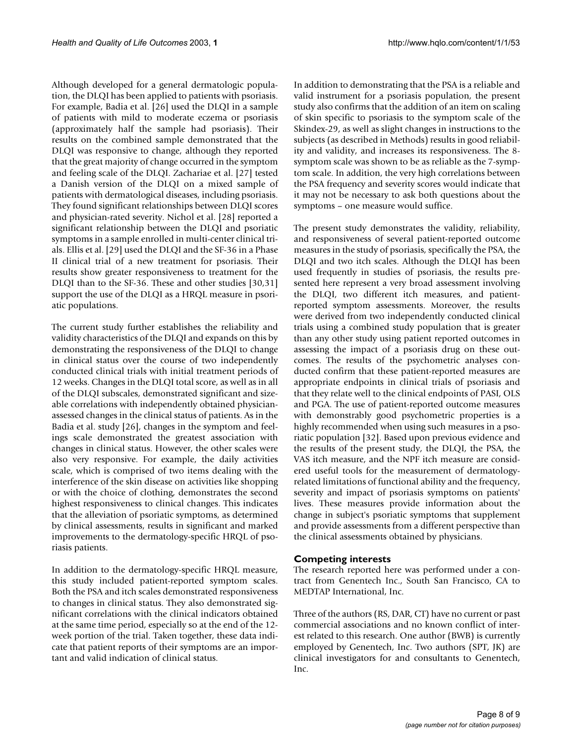Although developed for a general dermatologic population, the DLQI has been applied to patients with psoriasis. For example, Badia et al. [26] used the DLQI in a sample of patients with mild to moderate eczema or psoriasis (approximately half the sample had psoriasis). Their results on the combined sample demonstrated that the DLQI was responsive to change, although they reported that the great majority of change occurred in the symptom and feeling scale of the DLQI. Zachariae et al. [27] tested a Danish version of the DLQI on a mixed sample of patients with dermatological diseases, including psoriasis. They found significant relationships between DLQI scores and physician-rated severity. Nichol et al. [28] reported a significant relationship between the DLQI and psoriatic symptoms in a sample enrolled in multi-center clinical trials. Ellis et al. [29] used the DLQI and the SF-36 in a Phase II clinical trial of a new treatment for psoriasis. Their results show greater responsiveness to treatment for the DLQI than to the SF-36. These and other studies [[30](#page-8-0),31] support the use of the DLQI as a HRQL measure in psoriatic populations.

The current study further establishes the reliability and validity characteristics of the DLQI and expands on this by demonstrating the responsiveness of the DLQI to change in clinical status over the course of two independently conducted clinical trials with initial treatment periods of 12 weeks. Changes in the DLQI total score, as well as in all of the DLQI subscales, demonstrated significant and sizeable correlations with independently obtained physicianassessed changes in the clinical status of patients. As in the Badia et al. study [26], changes in the symptom and feelings scale demonstrated the greatest association with changes in clinical status. However, the other scales were also very responsive. For example, the daily activities scale, which is comprised of two items dealing with the interference of the skin disease on activities like shopping or with the choice of clothing, demonstrates the second highest responsiveness to clinical changes. This indicates that the alleviation of psoriatic symptoms, as determined by clinical assessments, results in significant and marked improvements to the dermatology-specific HRQL of psoriasis patients.

In addition to the dermatology-specific HRQL measure, this study included patient-reported symptom scales. Both the PSA and itch scales demonstrated responsiveness to changes in clinical status. They also demonstrated significant correlations with the clinical indicators obtained at the same time period, especially so at the end of the 12 week portion of the trial. Taken together, these data indicate that patient reports of their symptoms are an important and valid indication of clinical status.

In addition to demonstrating that the PSA is a reliable and valid instrument for a psoriasis population, the present study also confirms that the addition of an item on scaling of skin specific to psoriasis to the symptom scale of the Skindex-29, as well as slight changes in instructions to the subjects (as described in Methods) results in good reliability and validity, and increases its responsiveness. The 8 symptom scale was shown to be as reliable as the 7-symptom scale. In addition, the very high correlations between the PSA frequency and severity scores would indicate that it may not be necessary to ask both questions about the symptoms – one measure would suffice.

The present study demonstrates the validity, reliability, and responsiveness of several patient-reported outcome measures in the study of psoriasis, specifically the PSA, the DLQI and two itch scales. Although the DLQI has been used frequently in studies of psoriasis, the results presented here represent a very broad assessment involving the DLQI, two different itch measures, and patientreported symptom assessments. Moreover, the results were derived from two independently conducted clinical trials using a combined study population that is greater than any other study using patient reported outcomes in assessing the impact of a psoriasis drug on these outcomes. The results of the psychometric analyses conducted confirm that these patient-reported measures are appropriate endpoints in clinical trials of psoriasis and that they relate well to the clinical endpoints of PASI, OLS and PGA. The use of patient-reported outcome measures with demonstrably good psychometric properties is a highly recommended when using such measures in a psoriatic population [32]. Based upon previous evidence and the results of the present study, the DLQI, the PSA, the VAS itch measure, and the NPF itch measure are considered useful tools for the measurement of dermatologyrelated limitations of functional ability and the frequency, severity and impact of psoriasis symptoms on patients' lives. These measures provide information about the change in subject's psoriatic symptoms that supplement and provide assessments from a different perspective than the clinical assessments obtained by physicians.

# **Competing interests**

The research reported here was performed under a contract from Genentech Inc., South San Francisco, CA to MEDTAP International, Inc.

Three of the authors (RS, DAR, CT) have no current or past commercial associations and no known conflict of interest related to this research. One author (BWB) is currently employed by Genentech, Inc. Two authors (SPT, JK) are clinical investigators for and consultants to Genentech, Inc.